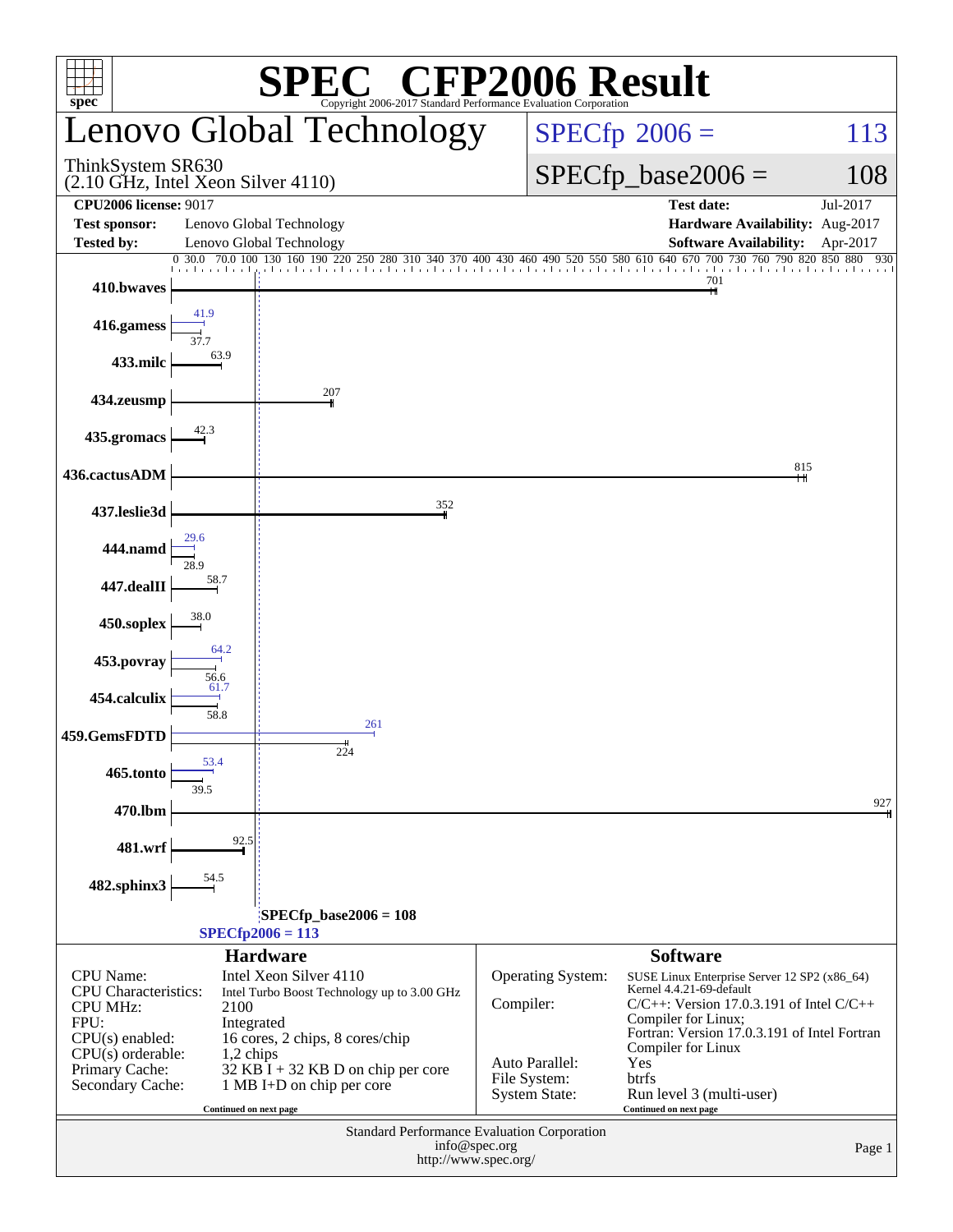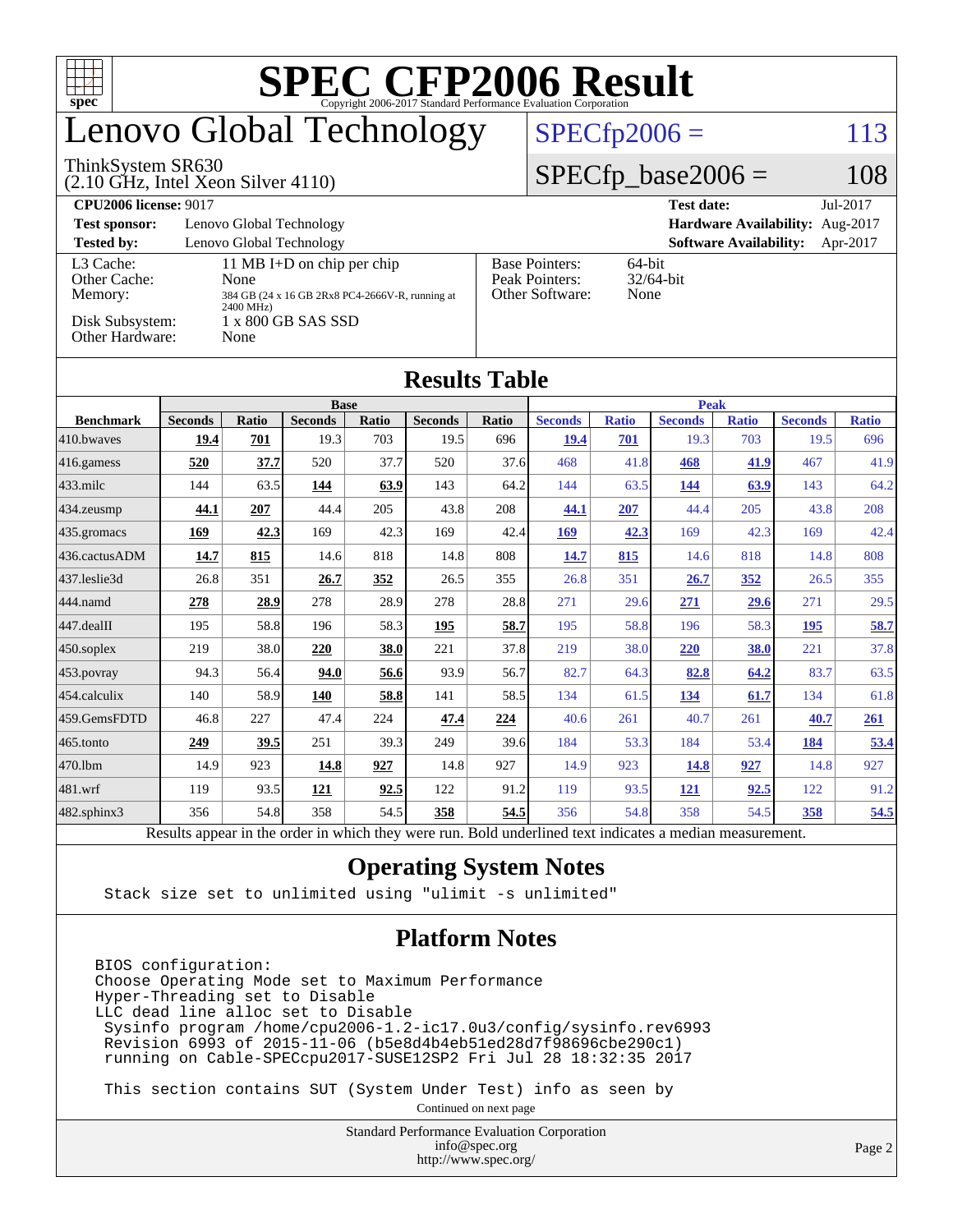| SPECCEP2006 Evaluation Corporation<br>T T<br>$spec^{\circ}$                                |                                                                                       |                     |                        |              |                        |              |                                                                                           |                     |                        |                     |                        |                     |  |
|--------------------------------------------------------------------------------------------|---------------------------------------------------------------------------------------|---------------------|------------------------|--------------|------------------------|--------------|-------------------------------------------------------------------------------------------|---------------------|------------------------|---------------------|------------------------|---------------------|--|
| Lenovo Global Technology                                                                   |                                                                                       |                     |                        |              |                        |              | $SPECfp2006 =$<br>113                                                                     |                     |                        |                     |                        |                     |  |
| ThinkSystem SR630<br>$(2.10 \text{ GHz}, \text{Intel Xeon Silver } 4110)$                  |                                                                                       |                     |                        |              |                        |              | $SPECfp\_base2006 =$                                                                      |                     |                        |                     | 108                    |                     |  |
| <b>CPU2006 license: 9017</b>                                                               |                                                                                       |                     |                        |              |                        |              | Jul-2017<br><b>Test date:</b>                                                             |                     |                        |                     |                        |                     |  |
| Lenovo Global Technology<br>Hardware Availability: Aug-2017<br><b>Test sponsor:</b>        |                                                                                       |                     |                        |              |                        |              |                                                                                           |                     |                        |                     |                        |                     |  |
| Lenovo Global Technology<br><b>Tested by:</b><br><b>Software Availability:</b><br>Apr-2017 |                                                                                       |                     |                        |              |                        |              |                                                                                           |                     |                        |                     |                        |                     |  |
| L3 Cache:<br>Other Cache:<br>Memory:                                                       | 11 MB I+D on chip per chip<br>None<br>384 GB (24 x 16 GB 2Rx8 PC4-2666V-R, running at |                     |                        |              |                        |              | <b>Base Pointers:</b><br>64-bit<br>Peak Pointers:<br>32/64-bit<br>Other Software:<br>None |                     |                        |                     |                        |                     |  |
| 2400 MHz)<br>Disk Subsystem:<br>1 x 800 GB SAS SSD<br>Other Hardware:<br>None              |                                                                                       |                     |                        |              |                        |              |                                                                                           |                     |                        |                     |                        |                     |  |
|                                                                                            |                                                                                       |                     |                        |              | <b>Results Table</b>   |              |                                                                                           |                     |                        |                     |                        |                     |  |
|                                                                                            | <b>Base</b>                                                                           |                     |                        |              |                        |              |                                                                                           | <b>Peak</b>         |                        |                     |                        |                     |  |
| <b>Benchmark</b><br>410.bwayes                                                             | <b>Seconds</b><br>19.4                                                                | <b>Ratio</b><br>701 | <b>Seconds</b><br>19.3 | Ratio<br>703 | <b>Seconds</b><br>19.5 | Ratio<br>696 | <b>Seconds</b><br>19.4                                                                    | <b>Ratio</b><br>701 | <b>Seconds</b><br>19.3 | <b>Ratio</b><br>703 | <b>Seconds</b><br>19.5 | <b>Ratio</b><br>696 |  |
| 416.gamess                                                                                 | 520                                                                                   | 37.7                | 520                    | 37.7         | 520                    | 37.6         | 468                                                                                       | 41.8                | 468                    | 41.9                | 467                    | 41.9                |  |
| $433$ .milc                                                                                | 144                                                                                   | 63.5                | 144                    | 63.9         | 143                    | 64.2         | 144                                                                                       | 63.5                | 144                    | 63.9                | 143                    | 64.2                |  |
| 434.zeusmp                                                                                 | 44.1                                                                                  | 207                 | 44.4                   | 205          | 43.8                   | 208          | 44.1                                                                                      | 207                 | 44.4                   | 205                 | 43.8                   | 208                 |  |
| 435.gromacs                                                                                | 169                                                                                   | 42.3                | 169                    | 42.3         | 169                    | 42.4         | 169                                                                                       | 42.3                | 169                    | 42.3                | 169                    | 42.4                |  |
| 436.cactusADM                                                                              | 14.7                                                                                  | 815                 | 14.6                   | 818          | 14.8                   | 808          | 14.7                                                                                      | 815                 | 14.6                   | 818                 | 14.8                   | 808                 |  |
| 437.leslie3d                                                                               | 26.8                                                                                  | 351                 | 26.7                   | 352          | 26.5                   | 355          | 26.8                                                                                      | 351                 | 26.7                   | 352                 | 26.5                   | 355                 |  |
| 444.namd                                                                                   | 278                                                                                   | 28.9                | 278                    | 28.9         | 278                    | 28.8         | 271                                                                                       | 29.6                | 271                    | 29.6                | 271                    | 29.5                |  |
| 447.dealII                                                                                 | 195                                                                                   | 58.8                | 196                    | 58.3         | 195                    | 58.7         | 195                                                                                       | 58.8                | 196                    | 58.3                | 195                    | 58.7                |  |
| 450.soplex                                                                                 | 219                                                                                   | 38.0                | 220                    | 38.0         | 221                    | 37.8         | 219                                                                                       | 38.0                | 220                    | 38.0                | 221                    | 37.8                |  |
| 453.povray                                                                                 | 94.3                                                                                  | 56.4                | 94.0                   | 56.6         | 93.9                   | 56.7         | 82.7                                                                                      | 64.3                | 82.8                   | 64.2                | 83.7                   | 63.5                |  |
| 454.calculix                                                                               | 140                                                                                   | 58.9                | 140                    | 58.8         | 141                    | 58.5         | 134                                                                                       | 61.5                | 134                    | 61.7                | 134                    | 61.8                |  |
| 459.GemsFDTD                                                                               | 46.8                                                                                  | 227                 | 47.4                   | 224          | 47.4                   | 224          | 40.6                                                                                      | 261                 | 40.7                   | 261                 | 40.7                   | 261                 |  |
| 465.tonto                                                                                  | 249                                                                                   | 39.5                | 251                    | 39.3         | 249                    | 39.6         | 184                                                                                       | 53.3                | 184                    | 53.4                | 184                    | 53.4                |  |
| 470.1bm                                                                                    | 14.9                                                                                  | 923                 | 14.8                   | 927          | 14.8                   | 927          | 14.9                                                                                      | 923                 | <b>14.8</b>            | 927                 | 14.8                   | 927                 |  |
| $481$ wrf                                                                                  | 119                                                                                   | 93.5                | 121                    | 92.5         | 122                    | 91.2         | 119                                                                                       | 93.5                | 121                    | 92.5                | 122                    | 91.2                |  |
| 482.sphinx3                                                                                | 356                                                                                   | 54.8                | 358                    | 54.5         | 358                    | 54.5         | 356                                                                                       | 54.8                | 358                    | 54.5                | 358                    | 54.5                |  |

Results appear in the [order in which they were run.](http://www.spec.org/auto/cpu2006/Docs/result-fields.html#RunOrder) Bold underlined text [indicates a median measurement.](http://www.spec.org/auto/cpu2006/Docs/result-fields.html#Median)

#### **[Operating System Notes](http://www.spec.org/auto/cpu2006/Docs/result-fields.html#OperatingSystemNotes)**

Stack size set to unlimited using "ulimit -s unlimited"

#### **[Platform Notes](http://www.spec.org/auto/cpu2006/Docs/result-fields.html#PlatformNotes)**

BIOS configuration: Choose Operating Mode set to Maximum Performance Hyper-Threading set to Disable LLC dead line alloc set to Disable Sysinfo program /home/cpu2006-1.2-ic17.0u3/config/sysinfo.rev6993 Revision 6993 of 2015-11-06 (b5e8d4b4eb51ed28d7f98696cbe290c1) running on Cable-SPECcpu2017-SUSE12SP2 Fri Jul 28 18:32:35 2017

This section contains SUT (System Under Test) info as seen by

Continued on next page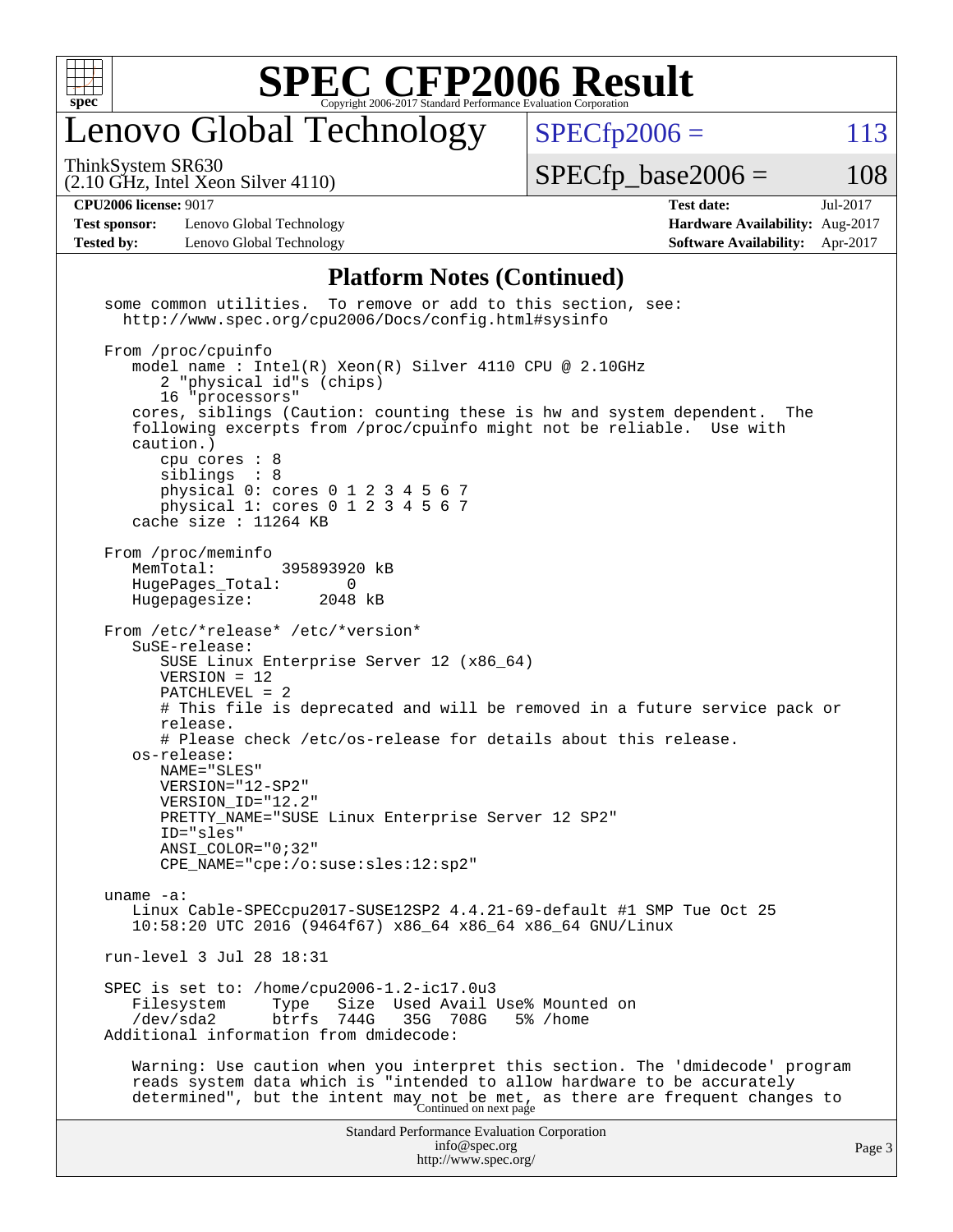

### enovo Global Technology

ThinkSystem SR630

 $SPECTp2006 = 113$ 

(2.10 GHz, Intel Xeon Silver 4110)

 $SPECTp\_base2006 = 108$ 

**[CPU2006 license:](http://www.spec.org/auto/cpu2006/Docs/result-fields.html#CPU2006license)** 9017 **[Test date:](http://www.spec.org/auto/cpu2006/Docs/result-fields.html#Testdate)** Jul-2017

**[Test sponsor:](http://www.spec.org/auto/cpu2006/Docs/result-fields.html#Testsponsor)** Lenovo Global Technology **[Hardware Availability:](http://www.spec.org/auto/cpu2006/Docs/result-fields.html#HardwareAvailability)** Aug-2017 **[Tested by:](http://www.spec.org/auto/cpu2006/Docs/result-fields.html#Testedby)** Lenovo Global Technology **[Software Availability:](http://www.spec.org/auto/cpu2006/Docs/result-fields.html#SoftwareAvailability)** Apr-2017

#### **[Platform Notes \(Continued\)](http://www.spec.org/auto/cpu2006/Docs/result-fields.html#PlatformNotes)**

Standard Performance Evaluation Corporation [info@spec.org](mailto:info@spec.org) <http://www.spec.org/> Page 3 some common utilities. To remove or add to this section, see: <http://www.spec.org/cpu2006/Docs/config.html#sysinfo> From /proc/cpuinfo model name : Intel(R) Xeon(R) Silver 4110 CPU @ 2.10GHz 2 "physical id"s (chips) 16 "processors" cores, siblings (Caution: counting these is hw and system dependent. The following excerpts from /proc/cpuinfo might not be reliable. Use with caution.) cpu cores : 8 siblings : 8 physical 0: cores 0 1 2 3 4 5 6 7 physical 1: cores 0 1 2 3 4 5 6 7 cache size : 11264 KB From /proc/meminfo MemTotal: 395893920 kB HugePages\_Total: 0<br>Hugepagesize: 2048 kB Hugepagesize: From /etc/\*release\* /etc/\*version\* SuSE-release: SUSE Linux Enterprise Server 12 (x86\_64) VERSION = 12 PATCHLEVEL = 2 # This file is deprecated and will be removed in a future service pack or release. # Please check /etc/os-release for details about this release. os-release: NAME="SLES" VERSION="12-SP2" VERSION\_ID="12.2" PRETTY\_NAME="SUSE Linux Enterprise Server 12 SP2" ID="sles" ANSI\_COLOR="0;32" CPE\_NAME="cpe:/o:suse:sles:12:sp2" uname -a: Linux Cable-SPECcpu2017-SUSE12SP2 4.4.21-69-default #1 SMP Tue Oct 25 10:58:20 UTC 2016 (9464f67) x86\_64 x86\_64 x86\_64 GNU/Linux run-level 3 Jul 28 18:31 SPEC is set to: /home/cpu2006-1.2-ic17.0u3 Filesystem Type Size Used Avail Use% Mounted on<br>
/dev/sda2 btrfs 744G 35G 708G 5% /home 35G 708G 5% /home Additional information from dmidecode: Warning: Use caution when you interpret this section. The 'dmidecode' program reads system data which is "intended to allow hardware to be accurately determined", but the intent may not be met, as there are frequent changes to<br>Continued on next page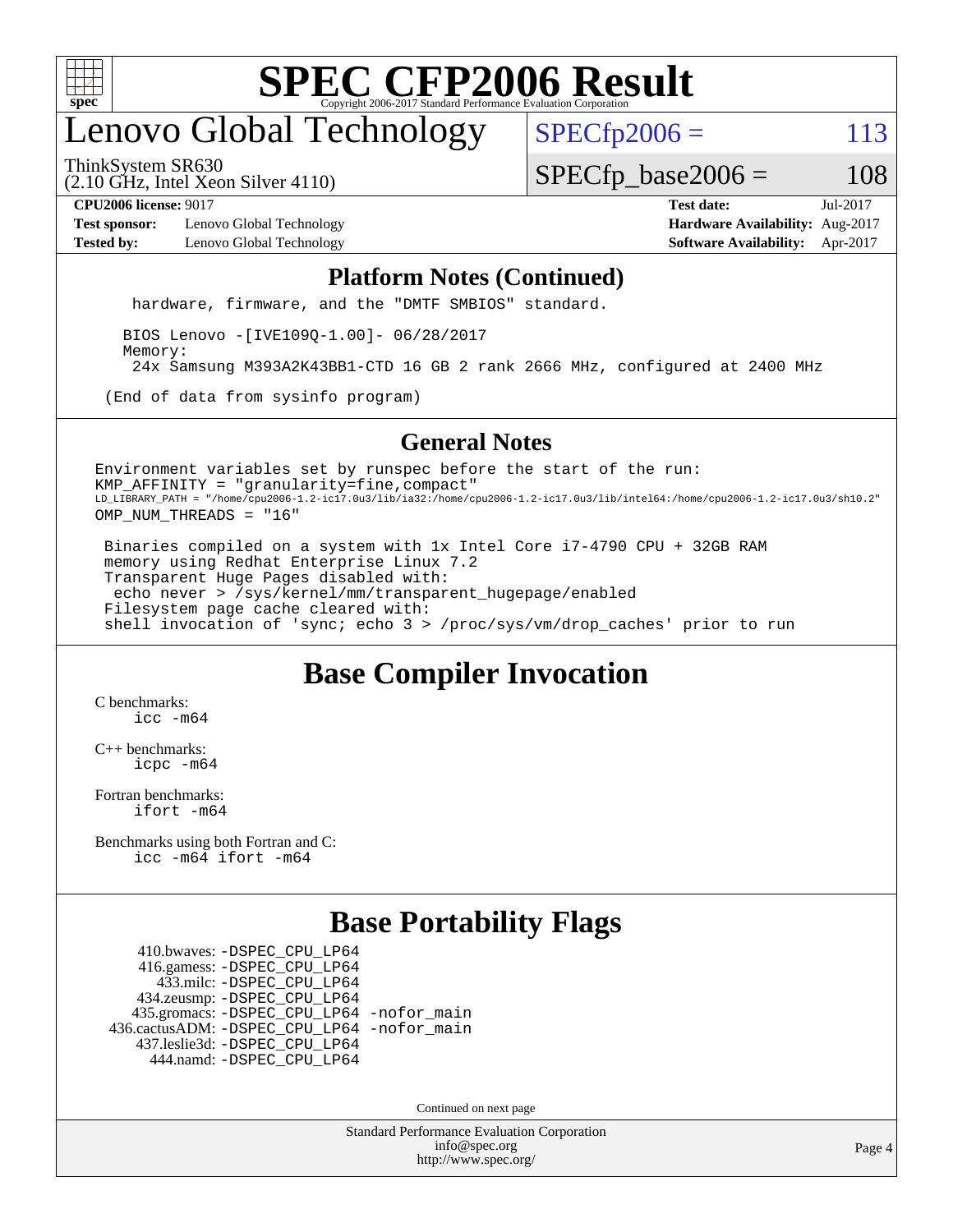

### enovo Global Technology

 $SPECTp2006 = 113$ 

(2.10 GHz, Intel Xeon Silver 4110) ThinkSystem SR630

 $SPECTp\_base2006 = 108$ 

**[Test sponsor:](http://www.spec.org/auto/cpu2006/Docs/result-fields.html#Testsponsor)** Lenovo Global Technology **[Hardware Availability:](http://www.spec.org/auto/cpu2006/Docs/result-fields.html#HardwareAvailability)** Aug-2017

**[CPU2006 license:](http://www.spec.org/auto/cpu2006/Docs/result-fields.html#CPU2006license)** 9017 **[Test date:](http://www.spec.org/auto/cpu2006/Docs/result-fields.html#Testdate)** Jul-2017 **[Tested by:](http://www.spec.org/auto/cpu2006/Docs/result-fields.html#Testedby)** Lenovo Global Technology **[Software Availability:](http://www.spec.org/auto/cpu2006/Docs/result-fields.html#SoftwareAvailability)** Apr-2017

#### **[Platform Notes \(Continued\)](http://www.spec.org/auto/cpu2006/Docs/result-fields.html#PlatformNotes)**

hardware, firmware, and the "DMTF SMBIOS" standard.

 BIOS Lenovo -[IVE109Q-1.00]- 06/28/2017 Memory: 24x Samsung M393A2K43BB1-CTD 16 GB 2 rank 2666 MHz, configured at 2400 MHz

(End of data from sysinfo program)

#### **[General Notes](http://www.spec.org/auto/cpu2006/Docs/result-fields.html#GeneralNotes)**

Environment variables set by runspec before the start of the run: KMP\_AFFINITY = "granularity=fine,compact" LD\_LIBRARY\_PATH = "/home/cpu2006-1.2-ic17.0u3/lib/ia32:/home/cpu2006-1.2-ic17.0u3/lib/intel64:/home/cpu2006-1.2-ic17.0u3/sh10.2" OMP\_NUM\_THREADS = "16"

 Binaries compiled on a system with 1x Intel Core i7-4790 CPU + 32GB RAM memory using Redhat Enterprise Linux 7.2 Transparent Huge Pages disabled with: echo never > /sys/kernel/mm/transparent\_hugepage/enabled Filesystem page cache cleared with: shell invocation of 'sync; echo 3 > /proc/sys/vm/drop\_caches' prior to run

#### **[Base Compiler Invocation](http://www.spec.org/auto/cpu2006/Docs/result-fields.html#BaseCompilerInvocation)**

[C benchmarks](http://www.spec.org/auto/cpu2006/Docs/result-fields.html#Cbenchmarks): [icc -m64](http://www.spec.org/cpu2006/results/res2017q4/cpu2006-20170918-49473.flags.html#user_CCbase_intel_icc_64bit_bda6cc9af1fdbb0edc3795bac97ada53)

[C++ benchmarks:](http://www.spec.org/auto/cpu2006/Docs/result-fields.html#CXXbenchmarks) [icpc -m64](http://www.spec.org/cpu2006/results/res2017q4/cpu2006-20170918-49473.flags.html#user_CXXbase_intel_icpc_64bit_fc66a5337ce925472a5c54ad6a0de310)

[Fortran benchmarks](http://www.spec.org/auto/cpu2006/Docs/result-fields.html#Fortranbenchmarks): [ifort -m64](http://www.spec.org/cpu2006/results/res2017q4/cpu2006-20170918-49473.flags.html#user_FCbase_intel_ifort_64bit_ee9d0fb25645d0210d97eb0527dcc06e)

[Benchmarks using both Fortran and C](http://www.spec.org/auto/cpu2006/Docs/result-fields.html#BenchmarksusingbothFortranandC): [icc -m64](http://www.spec.org/cpu2006/results/res2017q4/cpu2006-20170918-49473.flags.html#user_CC_FCbase_intel_icc_64bit_bda6cc9af1fdbb0edc3795bac97ada53) [ifort -m64](http://www.spec.org/cpu2006/results/res2017q4/cpu2006-20170918-49473.flags.html#user_CC_FCbase_intel_ifort_64bit_ee9d0fb25645d0210d97eb0527dcc06e)

#### **[Base Portability Flags](http://www.spec.org/auto/cpu2006/Docs/result-fields.html#BasePortabilityFlags)**

 410.bwaves: [-DSPEC\\_CPU\\_LP64](http://www.spec.org/cpu2006/results/res2017q4/cpu2006-20170918-49473.flags.html#suite_basePORTABILITY410_bwaves_DSPEC_CPU_LP64) 416.gamess: [-DSPEC\\_CPU\\_LP64](http://www.spec.org/cpu2006/results/res2017q4/cpu2006-20170918-49473.flags.html#suite_basePORTABILITY416_gamess_DSPEC_CPU_LP64) 433.milc: [-DSPEC\\_CPU\\_LP64](http://www.spec.org/cpu2006/results/res2017q4/cpu2006-20170918-49473.flags.html#suite_basePORTABILITY433_milc_DSPEC_CPU_LP64) 434.zeusmp: [-DSPEC\\_CPU\\_LP64](http://www.spec.org/cpu2006/results/res2017q4/cpu2006-20170918-49473.flags.html#suite_basePORTABILITY434_zeusmp_DSPEC_CPU_LP64) 435.gromacs: [-DSPEC\\_CPU\\_LP64](http://www.spec.org/cpu2006/results/res2017q4/cpu2006-20170918-49473.flags.html#suite_basePORTABILITY435_gromacs_DSPEC_CPU_LP64) [-nofor\\_main](http://www.spec.org/cpu2006/results/res2017q4/cpu2006-20170918-49473.flags.html#user_baseLDPORTABILITY435_gromacs_f-nofor_main) 436.cactusADM: [-DSPEC\\_CPU\\_LP64](http://www.spec.org/cpu2006/results/res2017q4/cpu2006-20170918-49473.flags.html#suite_basePORTABILITY436_cactusADM_DSPEC_CPU_LP64) [-nofor\\_main](http://www.spec.org/cpu2006/results/res2017q4/cpu2006-20170918-49473.flags.html#user_baseLDPORTABILITY436_cactusADM_f-nofor_main) 437.leslie3d: [-DSPEC\\_CPU\\_LP64](http://www.spec.org/cpu2006/results/res2017q4/cpu2006-20170918-49473.flags.html#suite_basePORTABILITY437_leslie3d_DSPEC_CPU_LP64) 444.namd: [-DSPEC\\_CPU\\_LP64](http://www.spec.org/cpu2006/results/res2017q4/cpu2006-20170918-49473.flags.html#suite_basePORTABILITY444_namd_DSPEC_CPU_LP64)

Continued on next page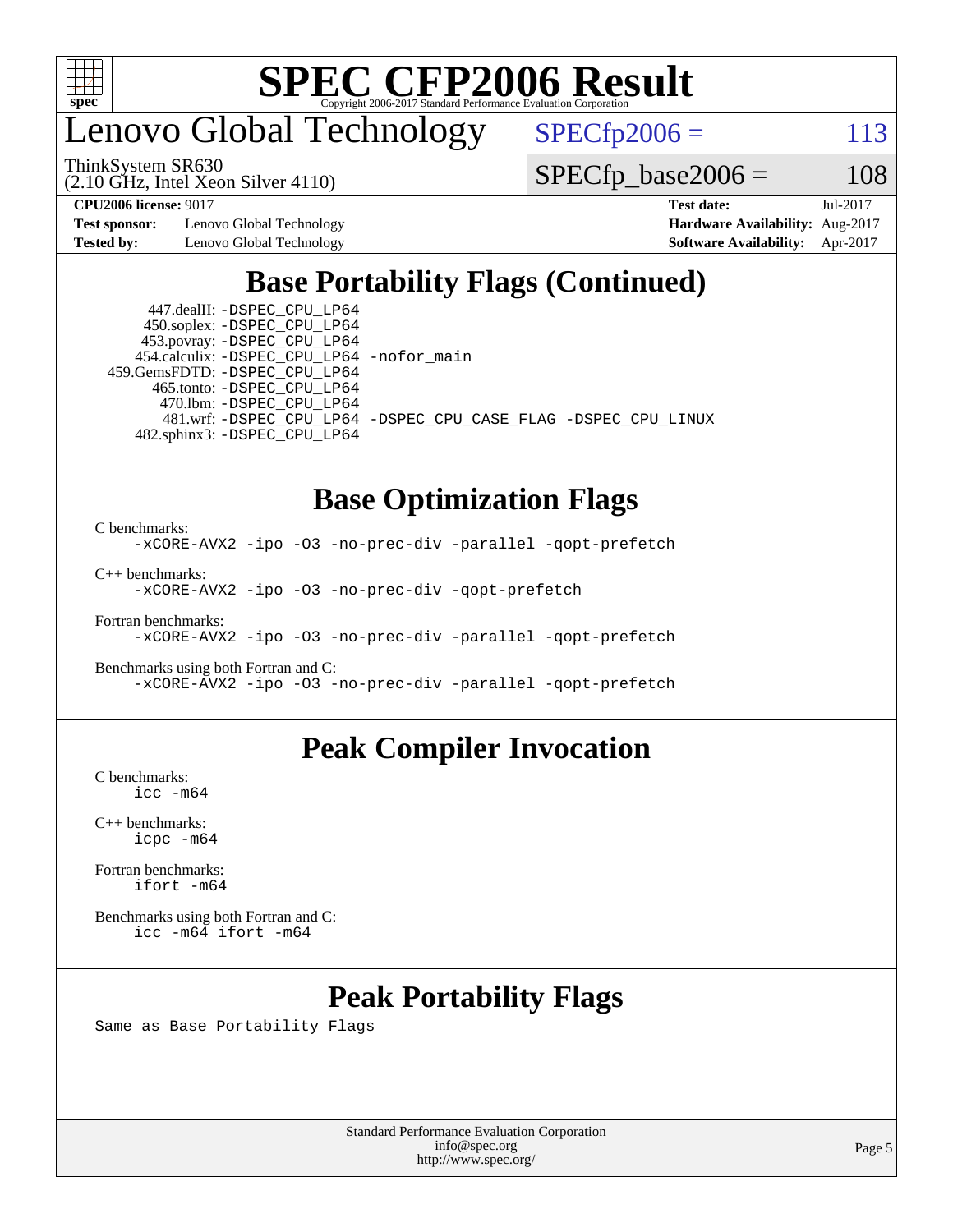

### enovo Global Technology

ThinkSystem SR630

(2.10 GHz, Intel Xeon Silver 4110)

 $SPECfp2006 = 113$  $SPECfp2006 = 113$ 

 $SPECfp\_base2006 = 108$ 

**[Test sponsor:](http://www.spec.org/auto/cpu2006/Docs/result-fields.html#Testsponsor)** Lenovo Global Technology **[Hardware Availability:](http://www.spec.org/auto/cpu2006/Docs/result-fields.html#HardwareAvailability)** Aug-2017

**[CPU2006 license:](http://www.spec.org/auto/cpu2006/Docs/result-fields.html#CPU2006license)** 9017 **[Test date:](http://www.spec.org/auto/cpu2006/Docs/result-fields.html#Testdate)** Jul-2017 **[Tested by:](http://www.spec.org/auto/cpu2006/Docs/result-fields.html#Testedby)** Lenovo Global Technology **[Software Availability:](http://www.spec.org/auto/cpu2006/Docs/result-fields.html#SoftwareAvailability)** Apr-2017

#### **[Base Portability Flags \(Continued\)](http://www.spec.org/auto/cpu2006/Docs/result-fields.html#BasePortabilityFlags)**

 447.dealII: [-DSPEC\\_CPU\\_LP64](http://www.spec.org/cpu2006/results/res2017q4/cpu2006-20170918-49473.flags.html#suite_basePORTABILITY447_dealII_DSPEC_CPU_LP64) 450.soplex: [-DSPEC\\_CPU\\_LP64](http://www.spec.org/cpu2006/results/res2017q4/cpu2006-20170918-49473.flags.html#suite_basePORTABILITY450_soplex_DSPEC_CPU_LP64) 453.povray: [-DSPEC\\_CPU\\_LP64](http://www.spec.org/cpu2006/results/res2017q4/cpu2006-20170918-49473.flags.html#suite_basePORTABILITY453_povray_DSPEC_CPU_LP64) 454.calculix: [-DSPEC\\_CPU\\_LP64](http://www.spec.org/cpu2006/results/res2017q4/cpu2006-20170918-49473.flags.html#suite_basePORTABILITY454_calculix_DSPEC_CPU_LP64) [-nofor\\_main](http://www.spec.org/cpu2006/results/res2017q4/cpu2006-20170918-49473.flags.html#user_baseLDPORTABILITY454_calculix_f-nofor_main) 459.GemsFDTD: [-DSPEC\\_CPU\\_LP64](http://www.spec.org/cpu2006/results/res2017q4/cpu2006-20170918-49473.flags.html#suite_basePORTABILITY459_GemsFDTD_DSPEC_CPU_LP64) 465.tonto: [-DSPEC\\_CPU\\_LP64](http://www.spec.org/cpu2006/results/res2017q4/cpu2006-20170918-49473.flags.html#suite_basePORTABILITY465_tonto_DSPEC_CPU_LP64) 470.lbm: [-DSPEC\\_CPU\\_LP64](http://www.spec.org/cpu2006/results/res2017q4/cpu2006-20170918-49473.flags.html#suite_basePORTABILITY470_lbm_DSPEC_CPU_LP64) 482.sphinx3: [-DSPEC\\_CPU\\_LP64](http://www.spec.org/cpu2006/results/res2017q4/cpu2006-20170918-49473.flags.html#suite_basePORTABILITY482_sphinx3_DSPEC_CPU_LP64)

481.wrf: [-DSPEC\\_CPU\\_LP64](http://www.spec.org/cpu2006/results/res2017q4/cpu2006-20170918-49473.flags.html#suite_basePORTABILITY481_wrf_DSPEC_CPU_LP64) [-DSPEC\\_CPU\\_CASE\\_FLAG](http://www.spec.org/cpu2006/results/res2017q4/cpu2006-20170918-49473.flags.html#b481.wrf_baseCPORTABILITY_DSPEC_CPU_CASE_FLAG) [-DSPEC\\_CPU\\_LINUX](http://www.spec.org/cpu2006/results/res2017q4/cpu2006-20170918-49473.flags.html#b481.wrf_baseCPORTABILITY_DSPEC_CPU_LINUX)

#### **[Base Optimization Flags](http://www.spec.org/auto/cpu2006/Docs/result-fields.html#BaseOptimizationFlags)**

[C benchmarks](http://www.spec.org/auto/cpu2006/Docs/result-fields.html#Cbenchmarks):

[-xCORE-AVX2](http://www.spec.org/cpu2006/results/res2017q4/cpu2006-20170918-49473.flags.html#user_CCbase_f-xCORE-AVX2) [-ipo](http://www.spec.org/cpu2006/results/res2017q4/cpu2006-20170918-49473.flags.html#user_CCbase_f-ipo) [-O3](http://www.spec.org/cpu2006/results/res2017q4/cpu2006-20170918-49473.flags.html#user_CCbase_f-O3) [-no-prec-div](http://www.spec.org/cpu2006/results/res2017q4/cpu2006-20170918-49473.flags.html#user_CCbase_f-no-prec-div) [-parallel](http://www.spec.org/cpu2006/results/res2017q4/cpu2006-20170918-49473.flags.html#user_CCbase_f-parallel) [-qopt-prefetch](http://www.spec.org/cpu2006/results/res2017q4/cpu2006-20170918-49473.flags.html#user_CCbase_f-qopt-prefetch)

[C++ benchmarks:](http://www.spec.org/auto/cpu2006/Docs/result-fields.html#CXXbenchmarks) [-xCORE-AVX2](http://www.spec.org/cpu2006/results/res2017q4/cpu2006-20170918-49473.flags.html#user_CXXbase_f-xCORE-AVX2) [-ipo](http://www.spec.org/cpu2006/results/res2017q4/cpu2006-20170918-49473.flags.html#user_CXXbase_f-ipo) [-O3](http://www.spec.org/cpu2006/results/res2017q4/cpu2006-20170918-49473.flags.html#user_CXXbase_f-O3) [-no-prec-div](http://www.spec.org/cpu2006/results/res2017q4/cpu2006-20170918-49473.flags.html#user_CXXbase_f-no-prec-div) [-qopt-prefetch](http://www.spec.org/cpu2006/results/res2017q4/cpu2006-20170918-49473.flags.html#user_CXXbase_f-qopt-prefetch)

[Fortran benchmarks](http://www.spec.org/auto/cpu2006/Docs/result-fields.html#Fortranbenchmarks): [-xCORE-AVX2](http://www.spec.org/cpu2006/results/res2017q4/cpu2006-20170918-49473.flags.html#user_FCbase_f-xCORE-AVX2) [-ipo](http://www.spec.org/cpu2006/results/res2017q4/cpu2006-20170918-49473.flags.html#user_FCbase_f-ipo) [-O3](http://www.spec.org/cpu2006/results/res2017q4/cpu2006-20170918-49473.flags.html#user_FCbase_f-O3) [-no-prec-div](http://www.spec.org/cpu2006/results/res2017q4/cpu2006-20170918-49473.flags.html#user_FCbase_f-no-prec-div) [-parallel](http://www.spec.org/cpu2006/results/res2017q4/cpu2006-20170918-49473.flags.html#user_FCbase_f-parallel) [-qopt-prefetch](http://www.spec.org/cpu2006/results/res2017q4/cpu2006-20170918-49473.flags.html#user_FCbase_f-qopt-prefetch)

[Benchmarks using both Fortran and C](http://www.spec.org/auto/cpu2006/Docs/result-fields.html#BenchmarksusingbothFortranandC): [-xCORE-AVX2](http://www.spec.org/cpu2006/results/res2017q4/cpu2006-20170918-49473.flags.html#user_CC_FCbase_f-xCORE-AVX2) [-ipo](http://www.spec.org/cpu2006/results/res2017q4/cpu2006-20170918-49473.flags.html#user_CC_FCbase_f-ipo) [-O3](http://www.spec.org/cpu2006/results/res2017q4/cpu2006-20170918-49473.flags.html#user_CC_FCbase_f-O3) [-no-prec-div](http://www.spec.org/cpu2006/results/res2017q4/cpu2006-20170918-49473.flags.html#user_CC_FCbase_f-no-prec-div) [-parallel](http://www.spec.org/cpu2006/results/res2017q4/cpu2006-20170918-49473.flags.html#user_CC_FCbase_f-parallel) [-qopt-prefetch](http://www.spec.org/cpu2006/results/res2017q4/cpu2006-20170918-49473.flags.html#user_CC_FCbase_f-qopt-prefetch)

#### **[Peak Compiler Invocation](http://www.spec.org/auto/cpu2006/Docs/result-fields.html#PeakCompilerInvocation)**

[C benchmarks](http://www.spec.org/auto/cpu2006/Docs/result-fields.html#Cbenchmarks): [icc -m64](http://www.spec.org/cpu2006/results/res2017q4/cpu2006-20170918-49473.flags.html#user_CCpeak_intel_icc_64bit_bda6cc9af1fdbb0edc3795bac97ada53)

[C++ benchmarks:](http://www.spec.org/auto/cpu2006/Docs/result-fields.html#CXXbenchmarks) [icpc -m64](http://www.spec.org/cpu2006/results/res2017q4/cpu2006-20170918-49473.flags.html#user_CXXpeak_intel_icpc_64bit_fc66a5337ce925472a5c54ad6a0de310)

[Fortran benchmarks](http://www.spec.org/auto/cpu2006/Docs/result-fields.html#Fortranbenchmarks): [ifort -m64](http://www.spec.org/cpu2006/results/res2017q4/cpu2006-20170918-49473.flags.html#user_FCpeak_intel_ifort_64bit_ee9d0fb25645d0210d97eb0527dcc06e)

[Benchmarks using both Fortran and C](http://www.spec.org/auto/cpu2006/Docs/result-fields.html#BenchmarksusingbothFortranandC): [icc -m64](http://www.spec.org/cpu2006/results/res2017q4/cpu2006-20170918-49473.flags.html#user_CC_FCpeak_intel_icc_64bit_bda6cc9af1fdbb0edc3795bac97ada53) [ifort -m64](http://www.spec.org/cpu2006/results/res2017q4/cpu2006-20170918-49473.flags.html#user_CC_FCpeak_intel_ifort_64bit_ee9d0fb25645d0210d97eb0527dcc06e)

#### **[Peak Portability Flags](http://www.spec.org/auto/cpu2006/Docs/result-fields.html#PeakPortabilityFlags)**

Same as Base Portability Flags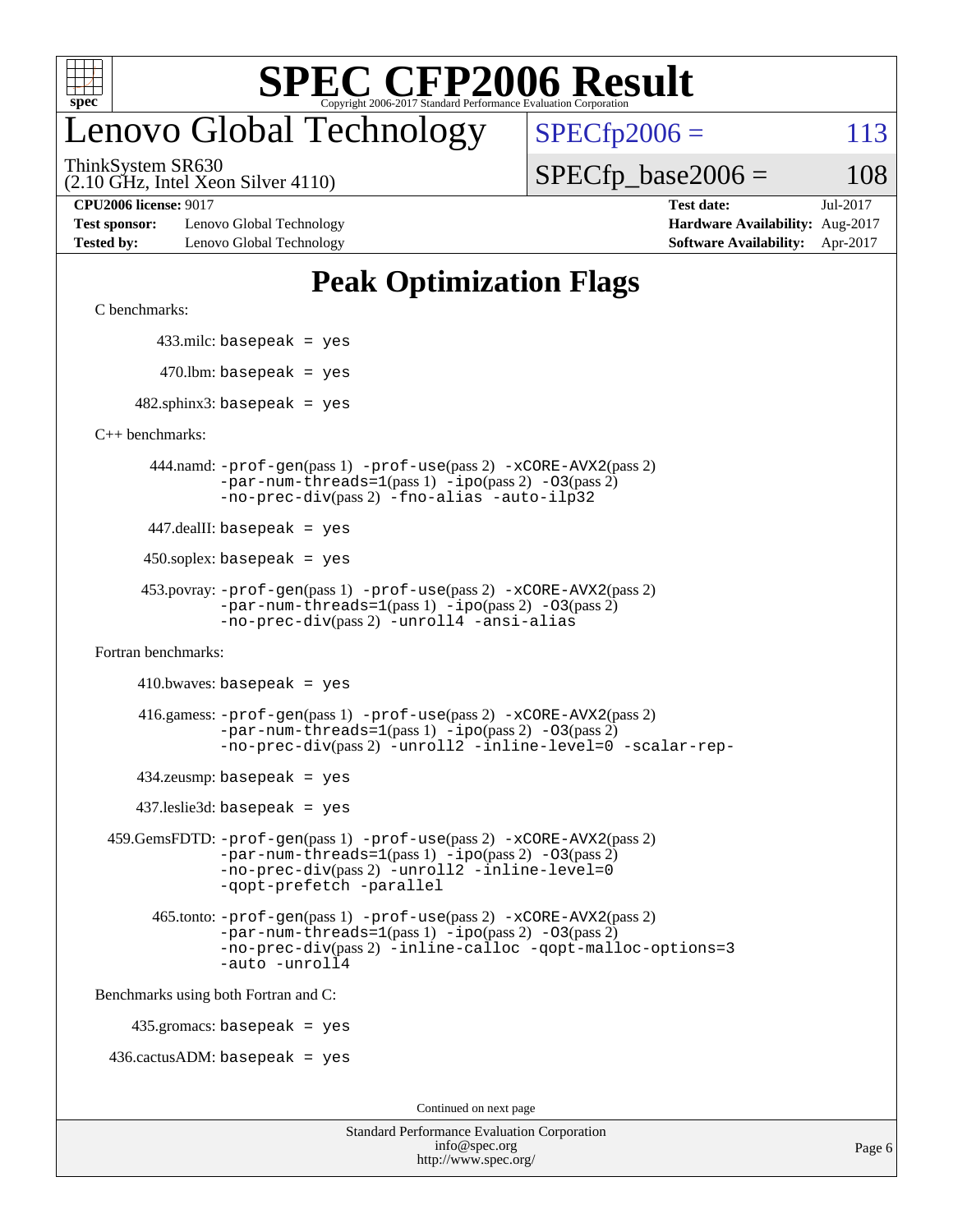

### enovo Global Technology

ThinkSystem SR630

 $SPECfp2006 = 113$  $SPECfp2006 = 113$ 

(2.10 GHz, Intel Xeon Silver 4110)

 $SPECTp\_base2006 = 108$ 

**[Test sponsor:](http://www.spec.org/auto/cpu2006/Docs/result-fields.html#Testsponsor)** Lenovo Global Technology **[Hardware Availability:](http://www.spec.org/auto/cpu2006/Docs/result-fields.html#HardwareAvailability)** Aug-2017 **[Tested by:](http://www.spec.org/auto/cpu2006/Docs/result-fields.html#Testedby)** Lenovo Global Technology **[Software Availability:](http://www.spec.org/auto/cpu2006/Docs/result-fields.html#SoftwareAvailability)** Apr-2017

**[CPU2006 license:](http://www.spec.org/auto/cpu2006/Docs/result-fields.html#CPU2006license)** 9017 **[Test date:](http://www.spec.org/auto/cpu2006/Docs/result-fields.html#Testdate)** Jul-2017

#### **[Peak Optimization Flags](http://www.spec.org/auto/cpu2006/Docs/result-fields.html#PeakOptimizationFlags)**

[C benchmarks](http://www.spec.org/auto/cpu2006/Docs/result-fields.html#Cbenchmarks):

433.milc: basepeak = yes

 $470.$ lbm: basepeak = yes

 $482$ .sphinx3: basepeak = yes

[C++ benchmarks:](http://www.spec.org/auto/cpu2006/Docs/result-fields.html#CXXbenchmarks)

 444.namd: [-prof-gen](http://www.spec.org/cpu2006/results/res2017q4/cpu2006-20170918-49473.flags.html#user_peakPASS1_CXXFLAGSPASS1_LDFLAGS444_namd_prof_gen_e43856698f6ca7b7e442dfd80e94a8fc)(pass 1) [-prof-use](http://www.spec.org/cpu2006/results/res2017q4/cpu2006-20170918-49473.flags.html#user_peakPASS2_CXXFLAGSPASS2_LDFLAGS444_namd_prof_use_bccf7792157ff70d64e32fe3e1250b55)(pass 2) [-xCORE-AVX2](http://www.spec.org/cpu2006/results/res2017q4/cpu2006-20170918-49473.flags.html#user_peakPASS2_CXXFLAGSPASS2_LDFLAGS444_namd_f-xCORE-AVX2)(pass 2)  $-par-num-threads=1(pass 1) -ipo(pass 2) -O3(pass 2)$  $-par-num-threads=1(pass 1) -ipo(pass 2) -O3(pass 2)$  $-par-num-threads=1(pass 1) -ipo(pass 2) -O3(pass 2)$  $-par-num-threads=1(pass 1) -ipo(pass 2) -O3(pass 2)$  $-par-num-threads=1(pass 1) -ipo(pass 2) -O3(pass 2)$  $-par-num-threads=1(pass 1) -ipo(pass 2) -O3(pass 2)$ [-no-prec-div](http://www.spec.org/cpu2006/results/res2017q4/cpu2006-20170918-49473.flags.html#user_peakPASS2_CXXFLAGSPASS2_LDFLAGS444_namd_f-no-prec-div)(pass 2) [-fno-alias](http://www.spec.org/cpu2006/results/res2017q4/cpu2006-20170918-49473.flags.html#user_peakCXXOPTIMIZEOPTIMIZE444_namd_f-no-alias_694e77f6c5a51e658e82ccff53a9e63a) [-auto-ilp32](http://www.spec.org/cpu2006/results/res2017q4/cpu2006-20170918-49473.flags.html#user_peakCXXOPTIMIZE444_namd_f-auto-ilp32)

447.dealII: basepeak = yes

 $450$ .soplex: basepeak = yes

```
 453.povray: -prof-gen(pass 1) -prof-use(pass 2) -xCORE-AVX2(pass 2)
         -par-num-threads=1-ipo-O3(pass 2)-no-prec-div(pass 2) -unroll4 -ansi-alias
```
[Fortran benchmarks](http://www.spec.org/auto/cpu2006/Docs/result-fields.html#Fortranbenchmarks):

 $410.bwaves: basepeak = yes$ 

 416.gamess: [-prof-gen](http://www.spec.org/cpu2006/results/res2017q4/cpu2006-20170918-49473.flags.html#user_peakPASS1_FFLAGSPASS1_LDFLAGS416_gamess_prof_gen_e43856698f6ca7b7e442dfd80e94a8fc)(pass 1) [-prof-use](http://www.spec.org/cpu2006/results/res2017q4/cpu2006-20170918-49473.flags.html#user_peakPASS2_FFLAGSPASS2_LDFLAGS416_gamess_prof_use_bccf7792157ff70d64e32fe3e1250b55)(pass 2) [-xCORE-AVX2](http://www.spec.org/cpu2006/results/res2017q4/cpu2006-20170918-49473.flags.html#user_peakPASS2_FFLAGSPASS2_LDFLAGS416_gamess_f-xCORE-AVX2)(pass 2)  $-par-num-threads=1(pass 1) -ipo(pass 2) -O3(pass 2)$  $-par-num-threads=1(pass 1) -ipo(pass 2) -O3(pass 2)$  $-par-num-threads=1(pass 1) -ipo(pass 2) -O3(pass 2)$  $-par-num-threads=1(pass 1) -ipo(pass 2) -O3(pass 2)$  $-par-num-threads=1(pass 1) -ipo(pass 2) -O3(pass 2)$  $-par-num-threads=1(pass 1) -ipo(pass 2) -O3(pass 2)$ [-no-prec-div](http://www.spec.org/cpu2006/results/res2017q4/cpu2006-20170918-49473.flags.html#user_peakPASS2_FFLAGSPASS2_LDFLAGS416_gamess_f-no-prec-div)(pass 2) [-unroll2](http://www.spec.org/cpu2006/results/res2017q4/cpu2006-20170918-49473.flags.html#user_peakOPTIMIZE416_gamess_f-unroll_784dae83bebfb236979b41d2422d7ec2) [-inline-level=0](http://www.spec.org/cpu2006/results/res2017q4/cpu2006-20170918-49473.flags.html#user_peakOPTIMIZE416_gamess_f-inline-level_318d07a09274ad25e8d15dbfaa68ba50) [-scalar-rep-](http://www.spec.org/cpu2006/results/res2017q4/cpu2006-20170918-49473.flags.html#user_peakOPTIMIZE416_gamess_f-disablescalarrep_abbcad04450fb118e4809c81d83c8a1d)

 $434$ .zeusmp: basepeak = yes

437.leslie3d: basepeak = yes

```
 459.GemsFDTD: -prof-gen(pass 1) -prof-use(pass 2) -xCORE-AVX2(pass 2)
            -par-num-threads=1-ipo-O3(pass 2)-no-prec-div(pass 2) -unroll2 -inline-level=0
            -qopt-prefetch -parallel
```
 465.tonto: [-prof-gen](http://www.spec.org/cpu2006/results/res2017q4/cpu2006-20170918-49473.flags.html#user_peakPASS1_FFLAGSPASS1_LDFLAGS465_tonto_prof_gen_e43856698f6ca7b7e442dfd80e94a8fc)(pass 1) [-prof-use](http://www.spec.org/cpu2006/results/res2017q4/cpu2006-20170918-49473.flags.html#user_peakPASS2_FFLAGSPASS2_LDFLAGS465_tonto_prof_use_bccf7792157ff70d64e32fe3e1250b55)(pass 2) [-xCORE-AVX2](http://www.spec.org/cpu2006/results/res2017q4/cpu2006-20170918-49473.flags.html#user_peakPASS2_FFLAGSPASS2_LDFLAGS465_tonto_f-xCORE-AVX2)(pass 2)  $-par-num-threads=1(pass 1) -ipo(pass 2) -O3(pass 2)$  $-par-num-threads=1(pass 1) -ipo(pass 2) -O3(pass 2)$  $-par-num-threads=1(pass 1) -ipo(pass 2) -O3(pass 2)$  $-par-num-threads=1(pass 1) -ipo(pass 2) -O3(pass 2)$  $-par-num-threads=1(pass 1) -ipo(pass 2) -O3(pass 2)$  $-par-num-threads=1(pass 1) -ipo(pass 2) -O3(pass 2)$ [-no-prec-div](http://www.spec.org/cpu2006/results/res2017q4/cpu2006-20170918-49473.flags.html#user_peakPASS2_FFLAGSPASS2_LDFLAGS465_tonto_f-no-prec-div)(pass 2) [-inline-calloc](http://www.spec.org/cpu2006/results/res2017q4/cpu2006-20170918-49473.flags.html#user_peakOPTIMIZE465_tonto_f-inline-calloc) [-qopt-malloc-options=3](http://www.spec.org/cpu2006/results/res2017q4/cpu2006-20170918-49473.flags.html#user_peakOPTIMIZE465_tonto_f-qopt-malloc-options_0fcb435012e78f27d57f473818e45fe4) [-auto](http://www.spec.org/cpu2006/results/res2017q4/cpu2006-20170918-49473.flags.html#user_peakOPTIMIZE465_tonto_f-auto) [-unroll4](http://www.spec.org/cpu2006/results/res2017q4/cpu2006-20170918-49473.flags.html#user_peakOPTIMIZE465_tonto_f-unroll_4e5e4ed65b7fd20bdcd365bec371b81f)

[Benchmarks using both Fortran and C](http://www.spec.org/auto/cpu2006/Docs/result-fields.html#BenchmarksusingbothFortranandC):

435.gromacs: basepeak = yes

 $436.cactusADM:basepeak = yes$ 

Continued on next page

| <b>Standard Performance Evaluation Corporation</b> |
|----------------------------------------------------|
| info@spec.org                                      |
| http://www.spec.org/                               |